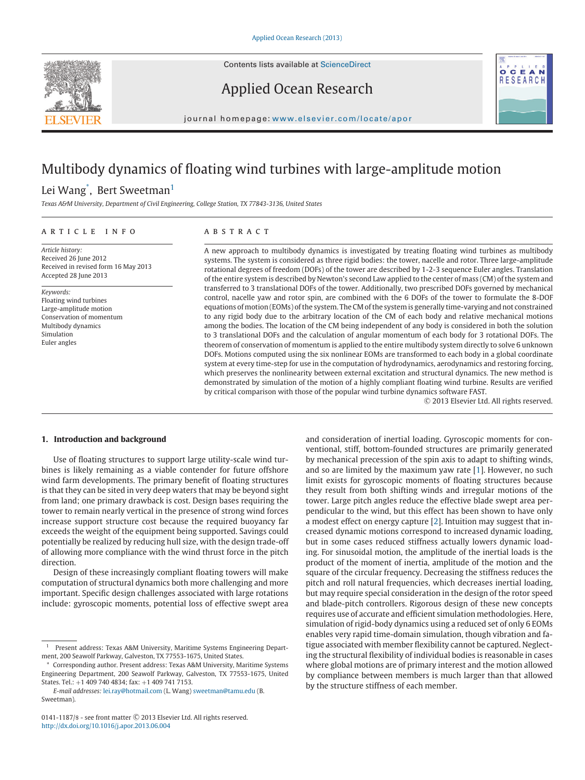

Contents lists available at [ScienceDirect](http://www.sciencedirect.com/science/journal/01411187)

Applied Ocean Research



journal homepage: www.el sevier. [com/locate/apor](http://www.elsevier.com/locate/apor)

# Multibody dynamics of floating wind turbines with large-amplitude motion

# Lei Wang<sup>\*</sup>, Bert Sweetman<sup>1</sup>

*Texas A&M University, Department of Civil Engineering, College Station, TX 77843-3136, United States*

## a r t i c l e i n f o

*Article history:* Received 26 June 2012 Received in revised form 16 May 2013 Accepted 28 June 2013

*Keywords:* Floating wind turbines Large-amplitude motion Conservation of momentum Multibody dynamics Simulation Euler angles

## A B S T R A C T

A new approach to multibody dynamics is investigated by treating floating wind turbines as multibody systems. The system is considered as three rigid bodies: the tower, nacelle and rotor. Three large-amplitude rotational degrees of freedom (DOFs) of the tower are described by 1-2-3 sequence Euler angles. Translation ofthe entire system is described by Newton's second Law applied to the center of mass (CM) ofthe system and transferred to 3 translational DOFs of the tower. Additionally, two prescribed DOFs governed by mechanical control, nacelle yaw and rotor spin, are combined with the 6 DOFs of the tower to formulate the 8-DOF equations of motion (EOMs) ofthe system. The CM ofthe system is generally time-varying and not constrained to any rigid body due to the arbitrary location of the CM of each body and relative mechanical motions among the bodies. The location of the CM being independent of any body is considered in both the solution to 3 translational DOFs and the calculation of angular momentum of each body for 3 rotational DOFs. The theorem of conservation of momentum is applied to the entire multibody system directly to solve 6 unknown DOFs. Motions computed using the six nonlinear EOMs are transformed to each body in a global coordinate system at every time-step for use in the computation of hydrodynamics, aerodynamics and restoring forcing, which preserves the nonlinearity between external excitation and structural dynamics. The new method is demonstrated by simulation of the motion of a highly compliant floating wind turbine. Results are verified by critical comparison with those of the popular wind turbine dynamics software FAST.

 $©$  2013 Elsevier Ltd. All rights reserved.

## **1. Introduction and background**

Use of floating structures to support large utility-scale wind turbines is likely remaining as a viable contender for future offshore wind farm developments. The primary benefit of floating structures is that they can be sited in very deep waters that may be beyond sight from land; one primary drawback is cost. Design bases requiring the tower to remain nearly vertical in the presence of strong wind forces increase support structure cost because the required buoyancy far exceeds the weight of the equipment being supported. Savings could potentially be realized by reducing hull size, with the design trade-off of allowing more compliance with the wind thrust force in the pitch direction.

Design of these increasingly compliant floating towers will make computation of structural dynamics both more challenging and more important. Specific design challenges associated with large rotations include: gyroscopic moments, potential loss of effective swept area

and consideration of inertial loading. Gyroscopic moments for conventional, stiff, bottom-founded structures are primarily generated by mechanical precession of the spin axis to adapt to shifting winds, and so are limited by the maximum yaw rate [\[1\]](#page-9-0). However, no such limit exists for gyroscopic moments of floating structures because they result from both shifting winds and irregular motions of the tower. Large pitch angles reduce the effective blade swept area perpendicular to the wind, but this effect has been shown to have only a modest effect on energy capture [\[2\]](#page-9-0). Intuition may suggest that increased dynamic motions correspond to increased dynamic loading, but in some cases reduced stiffness actually lowers dynamic loading. For sinusoidal motion, the amplitude of the inertial loads is the product of the moment of inertia, amplitude of the motion and the square of the circular frequency. Decreasing the stiffness reduces the pitch and roll natural frequencies, which decreases inertial loading, but may require special consideration in the design of the rotor speed and blade-pitch controllers. Rigorous design of these new concepts requires use of accurate and efficient simulation methodologies. Here, simulation of rigid-body dynamics using a reduced set of only 6 EOMs enables very rapid time-domain simulation, though vibration and fatigue associated with member flexibility cannot be captured. Neglecting the structural flexibility of individual bodies is reasonable in cases where global motions are of primary interest and the motion allowed by compliance between members is much larger than that allowed by the structure stiffness of each member.

<sup>&</sup>lt;sup>1</sup> Present address: Texas A&M University, Maritime Systems Engineering Department, 200 Seawolf Parkway, Galveston, TX 77553-1675, United States.

<sup>\*</sup> Corresponding author. Present address: Texas A&M University, Maritime Systems Engineering Department, 200 Seawolf Parkway, Galveston, TX 77553-1675, United States. Tel.: +1 409 740 4834; fax: +1 409 741 7153.

*E-mail addresses:* [lei.ray@hotmail.com](mailto:lei.ray@hotmail.com) (L. Wang) [sweetman@tamu.edu](mailto:sweetman@tamu.edu) (B. Sweetman).

<sup>0141-1187/</sup> $\scriptstyle\rm I$  - see front matter  $\scriptstyle\rm \odot$  2013 Elsevier Ltd. All rights reserved. <http://dx.doi.org/10.1016/j.apor.2013.06.004>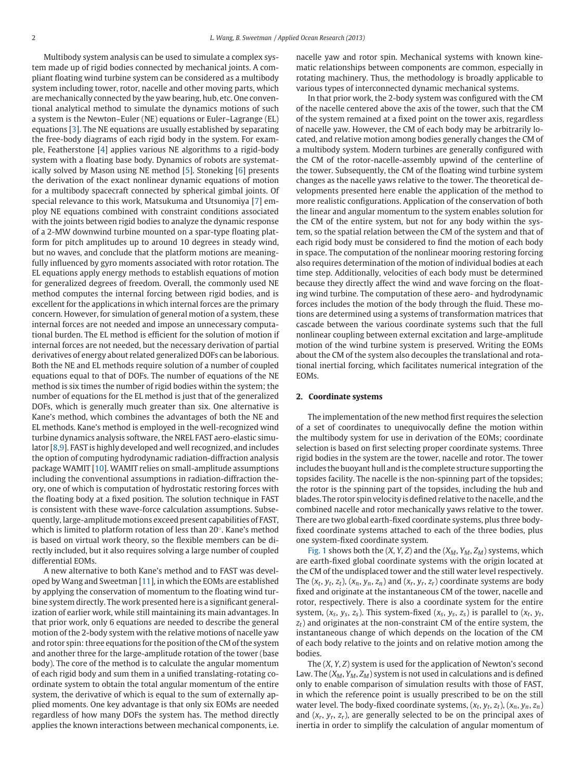Multibody system analysis can be used to simulate a complex system made up of rigid bodies connected by mechanical joints. A compliant floating wind turbine system can be considered as a multibody system including tower, rotor, nacelle and other moving parts, which are mechanically connected by the yaw bearing, hub, etc. One conventional analytical method to simulate the dynamics motions of such a system is the Newton–Euler (NE) equations or Euler–Lagrange (EL) equations [\[3\]](#page-9-0). The NE equations are usually established by separating the free-body diagrams of each rigid body in the system. For example, Featherstone [\[4\]](#page-9-0) applies various NE algorithms to a rigid-body system with a floating base body. Dynamics of robots are systematically solved by Mason using NE method [\[5\]](#page-9-0). Stoneking [\[6\]](#page-9-0) presents the derivation of the exact nonlinear dynamic equations of motion for a multibody spacecraft connected by spherical gimbal joints. Of special relevance to this work, Matsukuma and Utsunomiya [\[7\]](#page-9-0) employ NE equations combined with constraint conditions associated with the joints between rigid bodies to analyze the dynamic response of a 2-MW downwind turbine mounted on a spar-type floating platform for pitch amplitudes up to around 10 degrees in steady wind, but no waves, and conclude that the platform motions are meaningfully influenced by gyro moments associated with rotor rotation. The EL equations apply energy methods to establish equations of motion for generalized degrees of freedom. Overall, the commonly used NE method computes the internal forcing between rigid bodies, and is excellent for the applications in which internal forces are the primary concern. However, for simulation of general motion of a system, these internal forces are not needed and impose an unnecessary computational burden. The EL method is efficient for the solution of motion if internal forces are not needed, but the necessary derivation of partial derivatives of energy about related generalized DOFs can be laborious. Both the NE and EL methods require solution of a number of coupled equations equal to that of DOFs. The number of equations of the NE method is six times the number of rigid bodies within the system; the number of equations for the EL method is just that of the generalized DOFs, which is generally much greater than six. One alternative is Kane's method, which combines the advantages of both the NE and EL methods. Kane's method is employed in the well-recognized wind turbine dynamics analysis software, the NREL FAST aero-elastic simulator [\[8,9\]](#page-9-0). FAST is highly developed and well recognized, and includes the option of computing hydrodynamic radiation-diffraction analysis package WAMIT [\[10\]](#page-9-0). WAMIT relies on small-amplitude assumptions including the conventional assumptions in radiation-diffraction theory, one of which is computation of hydrostatic restoring forces with the floating body at a fixed position. The solution technique in FAST is consistent with these wave-force calculation assumptions. Subsequently, large-amplitude motions exceed present capabilities of FAST, which is limited to platform rotation of less than 20◦. Kane's method is based on virtual work theory, so the flexible members can be directly included, but it also requires solving a large number of coupled differential EOMs.

A new alternative to both Kane's method and to FAST was developed by Wang and Sweetman [\[11\]](#page-9-0), in which the EOMs are established by applying the conservation of momentum to the floating wind turbine system directly. The work presented here is a significant generalization of earlier work, while still maintaining its main advantages. In that prior work, only 6 equations are needed to describe the general motion of the 2-body system with the relative motions of nacelle yaw and rotor spin: three equations for the position of the CM of the system and another three for the large-amplitude rotation of the tower (base body). The core of the method is to calculate the angular momentum of each rigid body and sum them in a unified translating-rotating coordinate system to obtain the total angular momentum of the entire system, the derivative of which is equal to the sum of externally applied moments. One key advantage is that only six EOMs are needed regardless of how many DOFs the system has. The method directly applies the known interactions between mechanical components, i.e. nacelle yaw and rotor spin. Mechanical systems with known kinematic relationships between components are common, especially in rotating machinery. Thus, the methodology is broadly applicable to various types of interconnected dynamic mechanical systems.

In that prior work, the 2-body system was configured with the CM of the nacelle centered above the axis of the tower, such that the CM of the system remained at a fixed point on the tower axis, regardless of nacelle yaw. However, the CM of each body may be arbitrarily located, and relative motion among bodies generally changes the CM of a multibody system. Modern turbines are generally configured with the CM of the rotor-nacelle-assembly upwind of the centerline of the tower. Subsequently, the CM of the floating wind turbine system changes as the nacelle yaws relative to the tower. The theoretical developments presented here enable the application of the method to more realistic configurations. Application of the conservation of both the linear and angular momentum to the system enables solution for the CM of the entire system, but not for any body within the system, so the spatial relation between the CM of the system and that of each rigid body must be considered to find the motion of each body in space. The computation of the nonlinear mooring restoring forcing also requires determination of the motion of individual bodies at each time step. Additionally, velocities of each body must be determined because they directly affect the wind and wave forcing on the floating wind turbine. The computation of these aero- and hydrodynamic forces includes the motion of the body through the fluid. These motions are determined using a systems of transformation matrices that cascade between the various coordinate systems such that the full nonlinear coupling between external excitation and large-amplitude motion of the wind turbine system is preserved. Writing the EOMs about the CM of the system also decouples the translational and rotational inertial forcing, which facilitates numerical integration of the EOMs.

## **2. Coordinate systems**

The implementation of the new method first requires the selection of a set of coordinates to unequivocally define the motion within the multibody system for use in derivation of the EOMs; coordinate selection is based on first selecting proper coordinate systems. Three rigid bodies in the system are the tower, nacelle and rotor. The tower includes the buoyant hull and is the complete structure supporting the topsides facility. The nacelle is the non-spinning part of the topsides; the rotor is the spinning part of the topsides, including the hub and blades. The rotor spin velocity is defined relative to the nacelle, and the combined nacelle and rotor mechanically yaws relative to the tower. There are two global earth-fixed coordinate systems, plus three bodyfixed coordinate systems attached to each of the three bodies, plus one system-fixed coordinate system.

[Fig.](#page-2-0) 1 shows both the  $(X, Y, Z)$  and the  $(X_M, Y_M, Z_M)$  systems, which are earth-fixed global coordinate systems with the origin located at the CM of the undisplaced tower and the still water level respectively. The  $(x_t, y_t, z_t)$ ,  $(x_n, y_n, z_n)$  and  $(x_r, y_r, z_r)$  coordinate systems are body fixed and originate at the instantaneous CM of the tower, nacelle and rotor, respectively. There is also a coordinate system for the entire system,  $(x_s, y_s, z_s)$ . This system-fixed  $(x_s, y_s, z_s)$  is parallel to  $(x_t, y_t, z_s)$  $z<sub>t</sub>$ ) and originates at the non-constraint CM of the entire system, the instantaneous change of which depends on the location of the CM of each body relative to the joints and on relative motion among the bodies.

The (*X*, *Y*, *Z*) system is used for the application of Newton's second Law. The  $(X_M, Y_M, Z_M)$  system is not used in calculations and is defined only to enable comparison of simulation results with those of FAST, in which the reference point is usually prescribed to be on the still water level. The body-fixed coordinate systems, (*xt*, *yt*, *zt*), (*xn*, *yn*, *zn*) and (*xr*, *yr*, *zr*), are generally selected to be on the principal axes of inertia in order to simplify the calculation of angular momentum of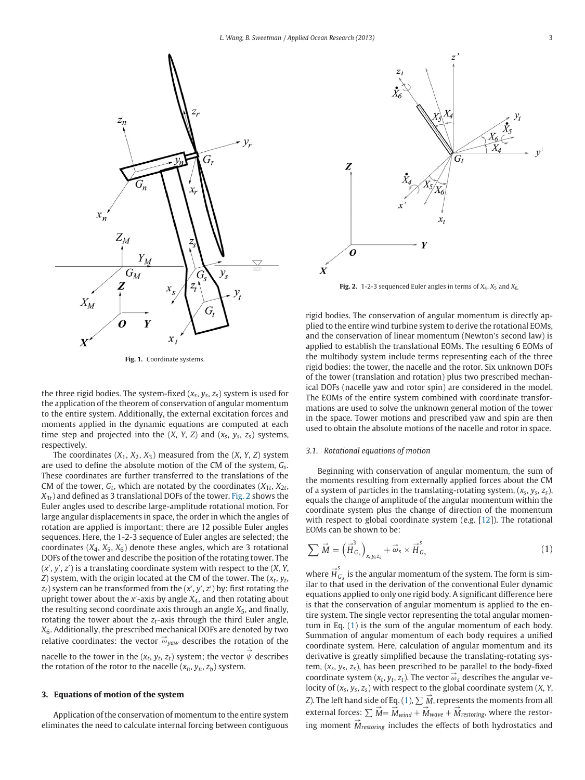<span id="page-2-0"></span>

**Fig. 1.** Coordinate systems.

the three rigid bodies. The system-fixed (*xs*, *ys*, *zs*) system is used for the application of the theorem of conservation of angular momentum to the entire system. Additionally, the external excitation forces and moments applied in the dynamic equations are computed at each time step and projected into the (*X*, *Y*, *Z*) and (*xs*, *ys*, *zs*) systems, respectively.

The coordinates  $(X_1, X_2, X_3)$  measured from the  $(X, Y, Z)$  system are used to define the absolute motion of the CM of the system, *Gs*. These coordinates are further transferred to the translations of the CM of the tower,  $G_t$ , which are notated by the coordinates  $(X_{1t}, X_{2t},$ *X*3*t*) and defined as 3 translational DOFs of the tower. Fig. 2 shows the Euler angles used to describe large-amplitude rotational motion. For large angular displacements in space, the order in which the angles of rotation are applied is important; there are 12 possible Euler angles sequences. Here, the 1-2-3 sequence of Euler angles are selected; the coordinates  $(X_4, X_5, X_6)$  denote these angles, which are 3 rotational DOFs of the tower and describe the position of the rotating tower. The (*x* , *y* , *z* ) is a translating coordinate system with respect to the (*X*, *Y*, *Z*) system, with the origin located at the CM of the tower. The  $(x_t, y_t,$ *zt*) system can be transformed from the (*x* , *y* , *z* ) by: first rotating the upright tower about the *x* -axis by angle *X*4, and then rotating about the resulting second coordinate axis through an angle *X*5, and finally, rotating the tower about the  $z_t$ -axis through the third Euler angle, *X*6. Additionally, the prescribed mechanical DOFs are denoted by two relative coordinates: the vector  $\vec{\omega}_{yaw}$  describes the rotation of the

nacelle to the tower in the  $(x_t, y_t, z_t)$  system; the vector  $\dot{\overrightarrow{\psi}}$  describes the rotation of the rotor to the nacelle  $(x_n, y_n, z_b)$  system.

### **3. Equations of motion of the system**

Application of the conservation of momentum to the entire system eliminates the need to calculate internal forcing between contiguous



**Fig. 2.** 1-2-3 sequenced Euler angles in terms of  $X_4$ ,  $X_5$  and  $X_6$ .

rigid bodies. The conservation of angular momentum is directly applied to the entire wind turbine system to derive the rotational EOMs, and the conservation of linear momentum (Newton's second law) is applied to establish the translational EOMs. The resulting 6 EOMs of the multibody system include terms representing each of the three rigid bodies: the tower, the nacelle and the rotor. Six unknown DOFs of the tower (translation and rotation) plus two prescribed mechanical DOFs (nacelle yaw and rotor spin) are considered in the model. The EOMs of the entire system combined with coordinate transformations are used to solve the unknown general motion of the tower in the space. Tower motions and prescribed yaw and spin are then used to obtain the absolute motions of the nacelle and rotor in space.

#### *3.1. Rotational equations of motion*

Beginning with conservation of angular momentum, the sum of the moments resulting from externally applied forces about the CM of a system of particles in the translating-rotating system, (*xs*, *ys*, *zs*), equals the change of amplitude of the angular momentum within the coordinate system plus the change of direction of the momentum with respect to global coordinate system (e.g. [\[12\]](#page-9-0)). The rotational EOMs can be shown to be:

$$
\sum \vec{M} = \left(\vec{H}_{G_s}^s\right)_{x_s y_s z_s} + \vec{\omega}_s \times \vec{H}_{G_s}^s \tag{1}
$$

where  $\vec{H}^s_{G_S}$  is the angular momentum of the system. The form is similar to that used in the derivation of the conventional Euler dynamic equations applied to only one rigid body. A significant difference here is that the conservation of angular momentum is applied to the entire system. The single vector representing the total angular momentum in Eq. (1) is the sum of the angular momentum of each body. Summation of angular momentum of each body requires a unified coordinate system. Here, calculation of angular momentum and its derivative is greatly simplified because the translating-rotating system, (*xs*, *ys*, *zs*), has been prescribed to be parallel to the body-fixed coordinate system  $(x_t, y_t, z_t)$ . The vector  $\vec{\omega}_s$  describes the angular velocity of (*xs*, *ys*, *zs*) with respect to the global coordinate system (*X*, *Y*, *Z*). The left hand side of Eq. (1),  $\sum \vec{M}$ , represents the moments from all external forces:  $\sum \vec{M} = \vec{M}_{wind} + \vec{M}_{wave} + \vec{M}_{restoring}$ , where the restoring moment  $\vec{M}_{\text{restoring}}$  includes the effects of both hydrostatics and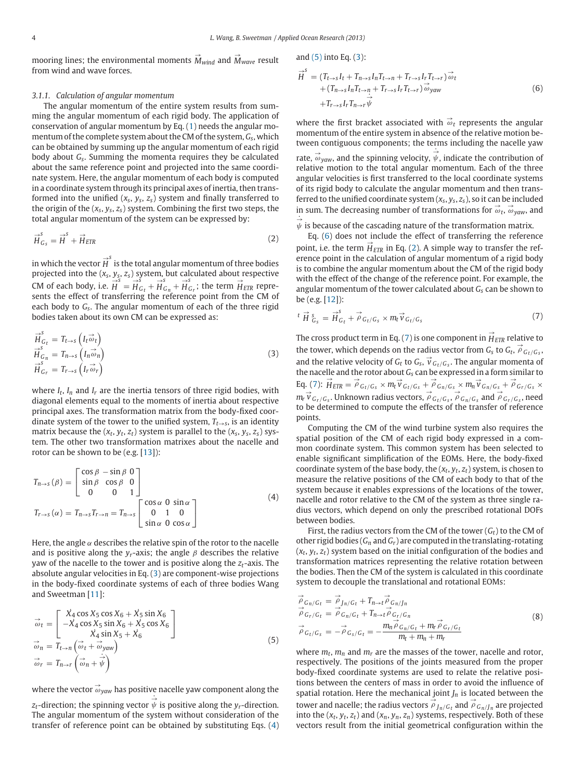<span id="page-3-0"></span>mooring lines; the environmental moments  $\vec{M}_{wind}$  and  $\vec{M}_{wave}$  result from wind and wave forces.

## *3.1.1. Calculation of angular momentum*

The angular momentum of the entire system results from summing the angular momentum of each rigid body. The application of conservation of angular momentum by Eq. [\(1\)](#page-2-0) needs the angular momentum of the complete system about the CM of the system,  $G_s$ , which can be obtained by summing up the angular momentum of each rigid body about *Gs*. Summing the momenta requires they be calculated about the same reference point and projected into the same coordinate system. Here, the angular momentum of each body is computed in a coordinate system through its principal axes of inertia, then transformed into the unified  $(x_s, y_s, z_s)$  system and finally transferred to the origin of the (*xs*, *ys*, *zs*) system. Combining the first two steps, the total angular momentum of the system can be expressed by:

$$
\vec{H}_{G_s}^s = \vec{H}^s + \vec{H}_{ETR} \tag{2}
$$

in which the vector  $\stackrel{\rightarrow}{H}^s$  is the total angular momentum of three bodies projected into the (*xs*, *ys*, *zs*) system, but calculated about respective CM of each body, i.e.  $\overrightarrow{H} = \overrightarrow{H}_{G_t} + \overrightarrow{H}_{G_n} + \overrightarrow{H}_{G_r}$ ; the term  $\overrightarrow{H}_{ETR}$  represents the effect of transferring the reference point from the CM of each body to *Gs*. The angular momentum of each of the three rigid bodies taken about its own CM can be expressed as:

$$
\begin{aligned}\n\vec{H}_{G_t}^s &= T_{t \to s} \left( I_t \vec{\omega}_t \right) \\
\vec{H}_{G_n}^s &= T_{n \to s} \left( I_n \vec{\omega}_n \right) \\
\vec{H}_{G_r}^s &= T_{r \to s} \left( I_r \vec{\omega}_r \right)\n\end{aligned} \tag{3}
$$

where  $I_t$ ,  $I_n$  and  $I_r$  are the inertia tensors of three rigid bodies, with diagonal elements equal to the moments of inertia about respective principal axes. The transformation matrix from the body-fixed coordinate system of the tower to the unified system,  $T_{t\rightarrow s}$ , is an identity matrix because the  $(x_t, y_t, z_t)$  system is parallel to the  $(x_s, y_s, z_s)$  system. The other two transformation matrixes about the nacelle and rotor can be shown to be (e.g. [\[13\]](#page-9-0)):

$$
T_{n\to s}(\beta) = \begin{bmatrix} \cos\beta & -\sin\beta & 0\\ \sin\beta & \cos\beta & 0\\ 0 & 0 & 1 \end{bmatrix}
$$
  
\n
$$
T_{r\to s}(\alpha) = T_{n\to s}T_{r\to n} = T_{n\to s} \begin{bmatrix} \cos\alpha & 0 & \sin\alpha\\ 0 & 1 & 0\\ \sin\alpha & 0 & \cos\alpha \end{bmatrix}
$$
 (4)

Here, the angle  $\alpha$  describes the relative spin of the rotor to the nacelle and is positive along the  $y_r$ -axis; the angle  $\beta$  describes the relative yaw of the nacelle to the tower and is positive along the  $z_t$ -axis. The absolute angular velocities in Eq. (3) are component-wise projections in the body-fixed coordinate systems of each of three bodies Wang and Sweetman [\[11\]](#page-9-0):

$$
\vec{\omega}_t = \begin{bmatrix} X_4 \cos X_5 \cos X_6 + X_5 \sin X_6 \\ -X_4 \cos X_5 \sin X_6 + X_5 \cos X_6 \\ X_4 \sin X_5 + X_6 \end{bmatrix}
$$
  
\n
$$
\vec{\omega}_n = T_{t \to n} \left( \vec{\omega}_t + \vec{\omega}_{yaw} \right)
$$
  
\n
$$
\vec{\omega}_r = T_{n \to r} \left( \vec{\omega}_n + \vec{\psi} \right)
$$
\n(5)

where the vector  $\stackrel{\rightarrow}{\omega}_{yaw}$  has positive nacelle yaw component along the

 $z_t$ -direction; the spinning vector  $\dot{\overrightarrow{v}}$  is positive along the  $y_r$ -direction. The angular momentum of the system without consideration of the transfer of reference point can be obtained by substituting Eqs. (4)

and 
$$
(5)
$$
 into Eq.  $(3)$ :

$$
\overrightarrow{H}^{s} = (T_{t \to s}I_t + T_{n \to s}I_nT_{t \to n} + T_{r \to s}I_rT_{t \to r})\overrightarrow{\omega}_t \n+ (T_{n \to s}I_nT_{t \to n} + T_{r \to s}I_rT_{t \to r})\overrightarrow{\omega}_{yaw} \n+ T_{r \to s}I_rT_{n \to r}\overrightarrow{\psi}
$$
\n(6)

where the first bracket associated with  $\vec{\omega}_t$  represents the angular momentum of the entire system in absence of the relative motion between contiguous components; the terms including the nacelle yaw

rate,  $\vec{\omega}_{yaw}$ , and the spinning velocity,  $\dot{\vec{\psi}}$ , indicate the contribution of relative motion to the total angular momentum. Each of the three angular velocities is first transferred to the local coordinate systems of its rigid body to calculate the angular momentum and then transferred to the unified coordinate system (*xs*, *ys*, *zs*), so it can be included in sum. The decreasing number of transformations for  $\vec{\omega}_t$ ,  $\vec{\omega}_{yaw}$ , and

# $\dot{\overrightarrow{\mathrm{\psi}}}$  is because of the cascading nature of the transformation matrix.

Eq. (6) does not include the effect of transferring the reference point, i.e. the term  $\vec{H}_{ETR}$  in Eq. (2). A simple way to transfer the reference point in the calculation of angular momentum of a rigid body is to combine the angular momentum about the CM of the rigid body with the effect of the change of the reference point. For example, the angular momentum of the tower calculated about *Gs* can be shown to be (e.g. [\[12\]](#page-9-0)):

$$
{}^{t}\vec{H}\,{}^{s}_{G_{s}} = \vec{H}^{s}_{G_{t}} + \vec{\rho}_{G_{t}/G_{s}} \times m_{t}\vec{\nu}_{G_{t}/G_{s}} \tag{7}
$$

The cross product term in Eq. (7) is one component in  $\stackrel{\rightarrow}{H}_{\text{ETR}}$  relative to the tower, which depends on the radius vector from  $G_s$  to  $G_t$ ,  $\stackrel{\rightarrow}{\rho} G_t/G_s$ , and the relative velocity of  $G_t$  to  $G_s$ ,  $\vec{v}_{G_t/G_s}$ . The angular momenta of the nacelle and the rotor about *Gs* can be expressed in a form similar to  $Eq. (7): \vec{H}_{ETR} = \vec{\rho}_{G_t/G_s} \times m_t \vec{v}_{G_t/G_s} + \vec{\rho}_{G_n/G_s} \times m_n \vec{v}_{G_n/G_s} + \vec{\rho}_{G_r/G_s} \times$  $m_r\vec{v}_{G_r/G_s}$ . Unknown radius vectors,  $\vec{\rho}_{G_t/G_s}$ ,  $\vec{\rho}_{G_n/G_s}$  and  $\vec{\rho}_{G_r/G_s}$ , need to be determined to compute the effects of the transfer of reference points.

Computing the CM of the wind turbine system also requires the spatial position of the CM of each rigid body expressed in a common coordinate system. This common system has been selected to enable significant simplification of the EOMs. Here, the body-fixed coordinate system of the base body, the  $(x_t, y_t, z_t)$  system, is chosen to measure the relative positions of the CM of each body to that of the system because it enables expressions of the locations of the tower, nacelle and rotor relative to the CM of the system as three single radius vectors, which depend on only the prescribed rotational DOFs between bodies.

First, the radius vectors from the CM of the tower  $(G_t)$  to the CM of other rigid bodies (*Gn* and*Gr*) are computed in the translating-rotating (*xt*, *yt*, *zt*) system based on the initial configuration of the bodies and transformation matrices representing the relative rotation between the bodies. Then the CM of the system is calculated in this coordinate system to decouple the translational and rotational EOMs:

$$
\begin{aligned}\n\vec{\rho}_{G_n/G_t} &= \vec{\rho}_{J_n/G_t} + T_{n \to t} \vec{\rho}_{G_n/J_n} \\
\vec{\rho}_{G_f/G_t} &= \vec{\rho}_{G_n/G_t} + T_{n \to t} \vec{\rho}_{G_f/G_n} \\
\vec{\rho}_{G_t/G_s} &= -\vec{\rho}_{G_s/G_t} = -\frac{m_n \vec{\rho}_{G_n/G_t} + m_r \vec{\rho}_{G_r/G_t}}{m_t + m_n + m_r}\n\end{aligned}
$$
(8)

where  $m_t$ ,  $m_n$  and  $m_r$  are the masses of the tower, nacelle and rotor, respectively. The positions of the joints measured from the proper body-fixed coordinate systems are used to relate the relative positions between the centers of mass in order to avoid the influence of spatial rotation. Here the mechanical joint  $J_n$  is located between the tower and nacelle; the radius vectors  $\vec{\rho}_{J_n/G_t}$  and  $\vec{\rho}_{G_n/J_n}$  are projected into the (*xt*, *yt*, *zt*) and (*xn*, *yn*, *zn*) systems, respectively. Both of these vectors result from the initial geometrical configuration within the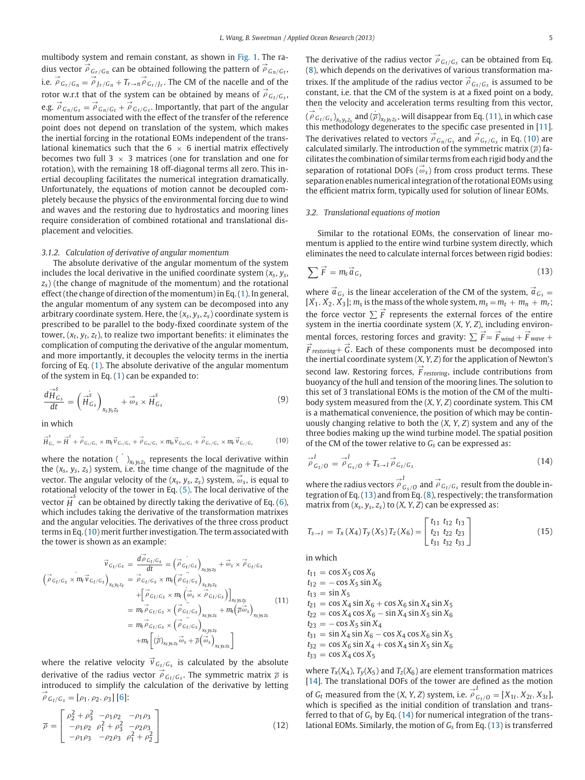<span id="page-4-0"></span>multibody system and remain constant, as shown in [Fig.](#page-2-0) 1. The radius vector  $\stackrel{\rightarrow}{\rho}_{G_r/G_n}$  can be obtained following the pattern of  $\stackrel{\rightarrow}{\rho}_{G_n/G_t}$ , i.e.  $\overrightarrow{\rho}_{G_r/G_n} = \overrightarrow{\rho}_{J_r/G_n} + T_{r \to n} \overrightarrow{\rho}_{G_r/J_r}$ . The CM of the nacelle and of the rotor w.r.t that of the system can be obtained by means of  $\vec{\rho}_{G_t/G_s}$ , e.g.  $\vec{\rho}_{G_n/G_s} = \vec{\rho}_{G_n/G_t} + \vec{\rho}_{G_t/G_s}$ . Importantly, that part of the angular momentum associated with the effect of the transfer of the reference point does not depend on translation of the system, which makes the inertial forcing in the rotational EOMs independent of the translational kinematics such that the  $6 \times 6$  inertial matrix effectively becomes two full 3  $\times$  3 matrices (one for translation and one for rotation), with the remaining 18 off-diagonal terms all zero. This inertial decoupling facilitates the numerical integration dramatically. Unfortunately, the equations of motion cannot be decoupled completely because the physics of the environmental forcing due to wind and waves and the restoring due to hydrostatics and mooring lines require consideration of combined rotational and translational displacement and velocities.

## *3.1.2. Calculation of derivative of angular momentum*

The absolute derivative of the angular momentum of the system includes the local derivative in the unified coordinate system (*xs*, *ys*, *zs*) (the change of magnitude of the momentum) and the rotational effect (the change of direction of the momentum) in Eq.  $(1)$ . In general, the angular momentum of any system can be decomposed into any arbitrary coordinate system. Here, the (*xs*, *ys*, *zs*) coordinate system is prescribed to be parallel to the body-fixed coordinate system of the tower,  $(x_t, y_t, z_t)$ , to realize two important benefits: it eliminates the complication of computing the derivative of the angular momentum, and more importantly, it decouples the velocity terms in the inertia forcing of Eq. [\(1\)](#page-2-0). The absolute derivative of the angular momentum of the system in Eq. [\(1\)](#page-2-0) can be expanded to:

$$
\frac{d\vec{H}^s_{G_s}}{dt} = \left(\vec{H}^s_{G_s}\right)_{x_s y_s z_s} + \vec{\omega}_s \times \vec{H}^s_{G_s}
$$
\n(9)

in which

$$
\vec{H}_{G_s} = \vec{H}^s + \vec{\rho}_{G_t/G_s} \times m_t \vec{v}_{G_t/G_s} + \vec{\rho}_{G_n/G_s} \times m_n \vec{v}_{G_n/G_s} + \vec{\rho}_{G_r/G_s} \times m_r \vec{v}_{G_r/G_s}
$$
(10)

where the notation  $\left(\begin{array}{c} \n\end{array}\right)_{x_5,y_5z_5}$  represents the local derivative within the (*xs*, *ys*, *zs*) system, i.e. the time change of the magnitude of the vector. The angular velocity of the  $(x_s, y_s, z_s)$  system,  $\vec{\omega}_s$ , is equal to rotational velocity of the tower in Eq. [\(5\).](#page-3-0) The local derivative of the  $\overrightarrow{H}$  can be obtained by directly taking the derivative of Eq. [\(6\)](#page-3-0), which includes taking the derivative of the transformation matrixes and the angular velocities. The derivatives of the three cross product terms in Eq. (10) merit further investigation. The term associated with the tower is shown as an example:

$$
\vec{v}_{G_t/G_s} = \frac{d\vec{\rho}_{G_t/G_s}}{dt} = (\vec{\rho}_{G_t/G_s})_{x_5y_5z_5} + \vec{\omega}_s \times \vec{\rho}_{G_t/G_s}
$$
\n
$$
(\vec{\rho}_{G_t/G_s} \times m_t \vec{v}_{G_t/G_s})_{x_5y_5z_5} = \vec{\rho}_{G_t/G_s} \times m_t (\vec{\rho}_{G_t/G_s})_{x_5y_5z_5} + [\vec{\rho}_{G_t/G_s} \times m_t (\vec{\omega}_s \times \vec{\rho}_{G_t/G_s})]_{x_5y_5z_5}
$$
\n
$$
= m_t \vec{\rho}_{G_t/G_s} \times (\vec{\rho}_{G_t/G_s})_{x_5y_5z_5} + m_t (\vec{\rho}_{\omega_s})_{x_5y_5z_5}
$$
\n
$$
= m_t \vec{\rho}_{G_t/G_s} \times (\vec{\rho}_{G_t/G_s})_{x_5y_5z_5}
$$
\n
$$
+ m_t [(\vec{\rho})_{x_5y_5z_5} \vec{\omega}_s + \vec{\rho} (\vec{\omega}_s)_{x_5y_5z_5}]
$$
\n(11)

where the relative velocity  $\vec{v}_{G_t/G_s}$  is calculated by the absolute derivative of the radius vector  $\overrightarrow{\rho}_{G_t/G_s}$ . The symmetric matrix  $\overline{\rho}$  is introduced to simplify the calculation of the derivative by letting  $\vec{\rho}_{G_t/G_s} = [\rho_1, \rho_2, \rho_3]$  [\[6\]](#page-9-0):

$$
\overline{\rho} = \begin{bmatrix} \rho_2^2 + \rho_3^2 & -\rho_1 \rho_2 & -\rho_1 \rho_3 \\ -\rho_1 \rho_2 & \rho_1^2 + \rho_3^2 & -\rho_2 \rho_3 \\ -\rho_1 \rho_3 & -\rho_2 \rho_3 & \rho_1^2 + \rho_2^2 \end{bmatrix}
$$
(12)

The derivative of the radius vector  $\overrightarrow{\rho}_{G_t/G_s}$  can be obtained from Eq. [\(8\)](#page-3-0), which depends on the derivatives of various transformation matrixes. If the amplitude of the radius vector  $\vec{\rho}_{G_t/G_s}$  is assumed to be constant, i.e. that the CM of the system is at a fixed point on a body, then the velocity and acceleration terms resulting from this vector,  $(\vec{\rho}_{G_t/G_s})_{x_s y_s z_s}$  and  $(\vec{\rho})_{x_s y_s z_s}$ , will disappear from Eq. (11), in which case this methodology degenerates to the specific case presented in [\[11\]](#page-9-0). The derivatives related to vectors  $\vec{\rho}_{G_n/G_s}$  and  $\vec{\rho}_{G_r/G_s}$  in Eq. (10) are calculated similarly. The introduction of the symmetric matrix ( $\bar{\rho}$ ) facilitates the combination of similar terms from each rigid body and the separation of rotational DOFs ( $\vec{\omega}_s$ ) from cross product terms. These separation enables numerical integration of the rotational EOMs using the efficient matrix form, typically used for solution of linear EOMs.

#### *3.2. Translational equations of motion*

Similar to the rotational EOMs, the conservation of linear momentum is applied to the entire wind turbine system directly, which eliminates the need to calculate internal forces between rigid bodies:

$$
\sum \vec{F} = m_s \vec{a}_{G_s} \tag{13}
$$

where  $\vec{a}_{G_s}$  is the linear acceleration of the CM of the system,  $\vec{a}_{G_s}$  =  $[X_1, X_2, X_3]$ ;  $m_s$  is the mass of the whole system,  $m_s = m_t + m_n + m_r$ ; the force vector  $\sum \vec{F}$  represents the external forces of the entire system in the inertia coordinate system (*X*, *Y*, *Z*), including environmental forces, restoring forces and gravity:  $\sum \vec{F} = \vec{F}_{wind} + \vec{F}_{wave} + \vec{F}_{\text{wave}}$  $\vec{F}$  *restoring* +  $\vec{G}$ . Each of these components must be decomposed into the inertial coordinate system (*X*, *Y*, *Z*) for the application of Newton's second law. Restoring forces,  $\vec{F}$  *restoring*, include contributions from buoyancy of the hull and tension of the mooring lines. The solution to this set of 3 translational EOMs is the motion of the CM of the multibody system measured from the (*X*, *Y*, *Z*) coordinate system. This CM is a mathematical convenience, the position of which may be continuously changing relative to both the (*X*, *Y*, *Z*) system and any of the three bodies making up the wind turbine model. The spatial position of the CM of the tower relative to *Gs* can be expressed as:

$$
\stackrel{\rightarrow I}{\rho}_{G_t/O} = \stackrel{\rightarrow I}{\rho}_{G_s/O} + T_{s \rightarrow I} \stackrel{\rightarrow}{\rho}_{G_t/G_s} \tag{14}
$$

where the radius vectors  $\stackrel{\rightarrow}{\rho}_{G_s/O}^I$  and  $\stackrel{\rightarrow}{\rho}_{G_t/G_s}^I$  result from the double integration of Eq.  $(13)$  and from Eq.  $(8)$ , respectively; the transformation matrix from  $(x_s, y_s, z_s)$  to  $(X, Y, Z)$  can be expressed as:

$$
T_{S \to I} = T_X(X_4) T_Y(X_5) T_Z(X_6) = \begin{bmatrix} t_{11} & t_{12} & t_{13} \\ t_{21} & t_{22} & t_{23} \\ t_{31} & t_{32} & t_{33} \end{bmatrix}
$$
(15)

in which

 $t_{11} = \cos X_5 \cos X_6$  $t_{12} = -\cos X_5 \sin X_6$  $t_{13} = \sin X_5$  $t_{21} = \cos X_4 \sin X_6 + \cos X_6 \sin X_4 \sin X_5$  $t_{22} = \cos X_4 \cos X_6 - \sin X_4 \sin X_5 \sin X_6$  $t_{23} = -\cos X_5 \sin X_4$  $t_{31} = \sin X_4 \sin X_6 - \cos X_4 \cos X_6 \sin X_5$  $t_{32} = \cos X_6 \sin X_4 + \cos X_4 \sin X_5 \sin X_6$  $t_{33} = \cos X_4 \cos X_5$ 

where  $T_x(X_4)$ ,  $T_y(X_5)$  and  $T_z(X_6)$  are element transformation matrices [\[14\]](#page-9-0). The translational DOFs of the tower are defined as the motion of *G*<sub>t</sub> measured from the  $(X, Y, Z)$  system, i.e.  $\stackrel{\rightarrow}{\rho}^I_{G_t/0} = [X_{1t}, X_{2t}, X_{3t}]$ which is specified as the initial condition of translation and transferred to that of *Gs* by Eq. (14) for numerical integration of the translational EOMs. Similarly, the motion of *Gs* from Eq. (13) is transferred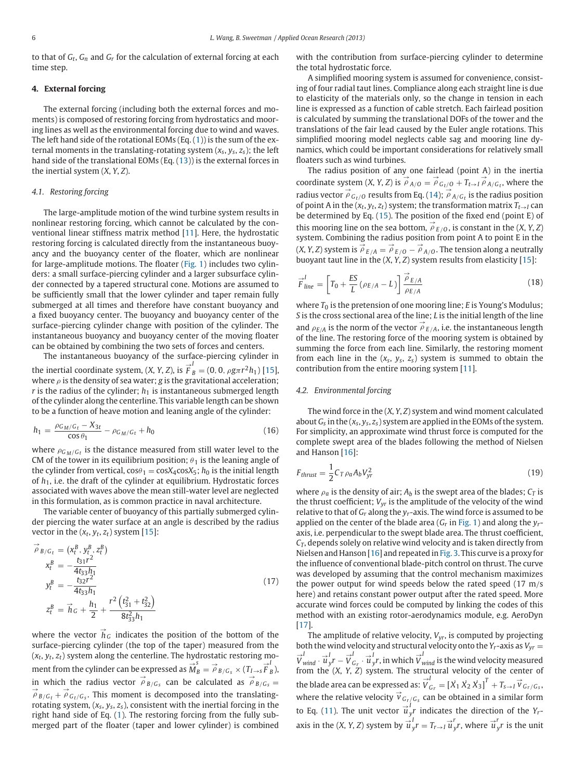<span id="page-5-0"></span>to that of *Gt*, *Gn* and *Gr* for the calculation of external forcing at each time step.

## **4. External forcing**

The external forcing (including both the external forces and moments) is composed of restoring forcing from hydrostatics and mooring lines as well as the environmental forcing due to wind and waves. The left hand side of the rotational EOMs (Eq. [\(1\)](#page-2-0)) is the sum of the external moments in the translating-rotating system (*xs*, *ys*, *zs*); the left hand side of the translational EOMs (Eq. [\(13\)](#page-4-0)) is the external forces in the inertial system (*X*, *Y*, *Z*).

## *4.1. Restoring forcing*

The large-amplitude motion of the wind turbine system results in nonlinear restoring forcing, which cannot be calculated by the conventional linear stiffness matrix method [\[11\]](#page-9-0). Here, the hydrostatic restoring forcing is calculated directly from the instantaneous buoyancy and the buoyancy center of the floater, which are nonlinear for large-amplitude motions. The floater [\(Fig.](#page-2-0) 1) includes two cylinders: a small surface-piercing cylinder and a larger subsurface cylinder connected by a tapered structural cone. Motions are assumed to be sufficiently small that the lower cylinder and taper remain fully submerged at all times and therefore have constant buoyancy and a fixed buoyancy center. The buoyancy and buoyancy center of the surface-piercing cylinder change with position of the cylinder. The instantaneous buoyancy and buoyancy center of the moving floater can be obtained by combining the two sets of forces and centers.

The instantaneous buoyancy of the surface-piercing cylinder in

the inertial coordinate system,  $(X, Y, Z)$ , is  $\overrightarrow{F}_B^I = (0, 0, \rho g \pi r^2 h_1)$  [\[15\]](#page-9-0), where  $\rho$  is the density of sea water; *g* is the gravitational acceleration;  $r$  is the radius of the cylinder;  $h_1$  is instantaneous submerged length of the cylinder along the centerline. This variable length can be shown to be a function of heave motion and leaning angle of the cylinder:

$$
h_1 = \frac{\rho_{G_M/G_t} - X_{3t}}{\cos \theta_1} - \rho_{G_M/G_t} + h_0
$$
\n(16)

where  $\rho_{G_M/G_t}$  is the distance measured from still water level to the CM of the tower in its equilibrium position;  $\theta_1$  is the leaning angle of the cylinder from vertical,  $cos\theta_1 = cosX_4 cosX_5$ ;  $h_0$  is the initial length of  $h_1$ , i.e. the draft of the cylinder at equilibrium. Hydrostatic forces associated with waves above the mean still-water level are neglected in this formulation, as is common practice in naval architecture.

The variable center of buoyancy of this partially submerged cylinder piercing the water surface at an angle is described by the radius vector in the  $(x_t, y_t, z_t)$  system [\[15\]](#page-9-0):

$$
\vec{\rho}_{B/G_t} = (x_t^B, y_t^B, z_t^B) \n x_t^B = -\frac{t_{31}r^2}{4t_{33}h_1} \n y_t^B = -\frac{t_{32}r^2}{4t_{33}h_1} \n z_t^B = \vec{h}_G + \frac{h_1}{2} + \frac{r^2\left(t_{31}^2 + t_{32}^2\right)}{8t_{33}^2h_1}
$$
\n(17)

where the vector  $\vec{h}_G$  indicates the position of the bottom of the surface-piercing cylinder (the top of the taper) measured from the (*xt*, *yt*, *zt*) system along the centerline. The hydrostatic restoring moment from the cylinder can be expressed as  $\overrightarrow{M}_B = \overrightarrow{\rho}_{B/G_s} \times (T_{I \to s} \overrightarrow{F}_B)$ , in which the radius vector  $\vec{\rho}_{B/G_s}$  can be calculated as  $\vec{\rho}_{B/G_s} = \vec{\rho}_{B} - \vec{\rho}_{B}$ .  $\overrightarrow{\rho}_{B/G_t} + \overrightarrow{\rho}_{G_t/G_s}$ . This moment is decomposed into the translatingrotating system, (*xs*, *ys*, *zs*), consistent with the inertial forcing in the right hand side of Eq. [\(1\)](#page-2-0). The restoring forcing from the fully submerged part of the floater (taper and lower cylinder) is combined with the contribution from surface-piercing cylinder to determine the total hydrostatic force.

A simplified mooring system is assumed for convenience, consisting of four radial taut lines. Compliance along each straight line is due to elasticity of the materials only, so the change in tension in each line is expressed as a function of cable stretch. Each fairlead position is calculated by summing the translational DOFs of the tower and the translations of the fair lead caused by the Euler angle rotations. This simplified mooring model neglects cable sag and mooring line dynamics, which could be important considerations for relatively small floaters such as wind turbines.

The radius position of any one fairlead (point A) in the inertia coordinate system  $(X, Y, Z)$  is  $\overrightarrow{\rho}_{A/O} = \overrightarrow{\rho}_{Gt/O} + T_{t \rightarrow I} \overrightarrow{\rho}_{A/G_t}$ , where the radius vector  $\stackrel{\rightarrow}{\rho}_{G_t/O}$  results from Eq. [\(14\)](#page-4-0);  $\stackrel{\rightarrow}{\rho}_{A/G_t}$  is the radius position of point A in the  $(x_t, y_t, z_t)$  system; the transformation matrix  $T_{t\rightarrow I}$  can be determined by Eq. [\(15\)](#page-4-0). The position of the fixed end (point E) of this mooring line on the sea bottom,  $\overrightarrow{\rho}_{E/O}$ , is constant in the (*X*, *Y*, *Z*) system. Combining the radius position from point A to point E in the  $(X, Y, Z)$  system is  $\overrightarrow{\rho}_{E/A} = \overrightarrow{\rho}_{E/O} - \overrightarrow{\rho}_{A/O}$ . The tension along a neutrally buoyant taut line in the (*X*, *Y*, *Z*) system results from elasticity [\[15\]](#page-9-0):

$$
\vec{F}_{line}^{I} = \left[ T_0 + \frac{ES}{L} (\rho_{E/A} - L) \right] \frac{\vec{\rho}_{E/A}}{\rho_{E/A}}
$$
(18)

where  $T_0$  is the pretension of one mooring line; *E* is Young's Modulus; *S* is the cross sectional area of the line; *L* is the initial length of the line and  $\rho_{E/A}$  is the norm of the vector  $\overrightarrow{\rho}_{E/A}$ , i.e. the instantaneous length of the line. The restoring force of the mooring system is obtained by summing the force from each line. Similarly, the restoring moment from each line in the  $(x_s, y_s, z_s)$  system is summed to obtain the contribution from the entire mooring system [\[11\]](#page-9-0).

## *4.2. Environmental forcing*

The wind force in the (*X*, *Y*, *Z*) system and wind moment calculated about  $G_s$  in the  $(x_s, y_s, z_s)$  system are applied in the EOMs of the system. For simplicity, an approximate wind thrust force is computed for the complete swept area of the blades following the method of Nielsen and Hanson [\[16\]](#page-9-0):

$$
F_{thrust} = \frac{1}{2} C_T \rho_a A_b V_{yr}^2 \tag{19}
$$

where  $\rho_a$  is the density of air;  $A_b$  is the swept area of the blades;  $C_T$  is the thrust coefficient;  $V_{vr}$  is the amplitude of the velocity of the wind relative to that of  $G_r$  along the  $y_r$ -axis. The wind force is assumed to be applied on the center of the blade area (*Gr* in [Fig.](#page-2-0) 1) and along the *yr*axis, i.e. perpendicular to the swept blade area. The thrust coefficient,  $C_T$ , depends solely on relative wind velocity and is taken directly from Nielsen and Hanson [\[16\]](#page-9-0) and repeated in [Fig.](#page-6-0) 3. This curve is a proxy for the influence of conventional blade-pitch control on thrust. The curve was developed by assuming that the control mechanism maximizes the power output for wind speeds below the rated speed (17 m/s here) and retains constant power output after the rated speed. More accurate wind forces could be computed by linking the codes of this method with an existing rotor-aerodynamics module, e.g. AeroDyn [\[17\]](#page-9-0).

The amplitude of relative velocity, *Vyr*, is computed by projecting both the wind velocity and structural velocity onto the  $Y_r$ -axis as  $V_{yr} =$  $\overrightarrow{V}$ <sup>I</sup>  $\frac{d}{dx}$  $\frac{d}{dt}$  $\frac{d}{dt}$  $\frac{d}{dt}$  $\frac{d}{dt}$  $\frac{d}{d\sigma}$  .  $\vec{u}^I_y$ r, in which  $\vec{V}^I_{wind}$  is the wind velocity measured from the (*X*, *Y*, *Z*) system. The structural velocity of the center of the blade area can be expressed as:  $\overrightarrow{V}_{G_r}^I = \left[X_1\,X_2\,X_3\right]^T + T_{s\rightarrow I}\overrightarrow{v}_{G_r/G_s},$ where the relative velocity  $\vec{v}_{G_r/G_s}$  can be obtained in a similar form to Eq. [\(11\)](#page-4-0). The unit vector  $\vec{u}_{y}^I$  indicates the direction of the  $Y_r$ axis in the (*X*, *Y*, *Z*) system by  $\vec{u}_y^I r = T_{r \to I} \vec{u}_y^r r$ , where  $\vec{u}_y^r r$  is the unit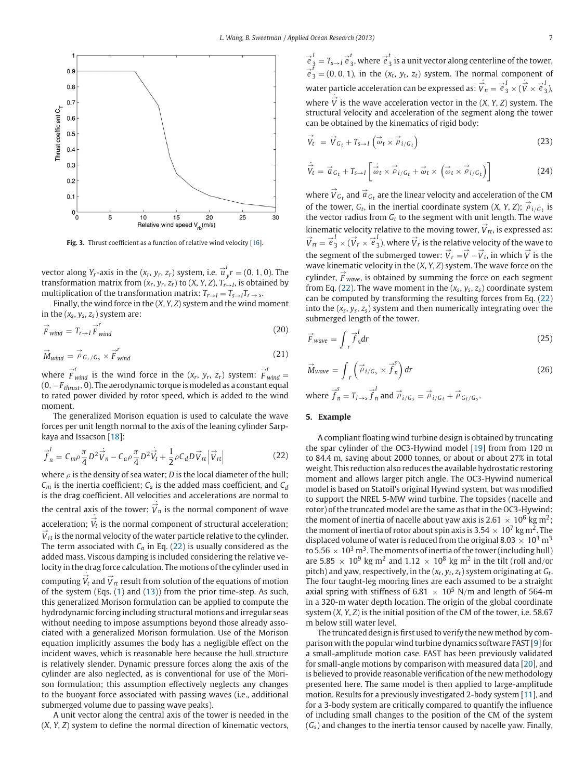<span id="page-6-0"></span>

**Fig. 3.** Thrust coefficient as a function of relative wind velocity [\[16\]](#page-9-0).

vector along *Y<sub>r</sub>*-axis in the  $(x_r, y_r, z_r)$  system, i.e.  $\vec{u}_y^r = (0, 1, 0)$ . The transformation matrix from  $(x_r, y_r, z_r)$  to  $(X, Y, Z), T_{r \to I}$ , is obtained by multiplication of the transformation matrix:  $T_{r\rightarrow I} = T_{s\rightarrow I}T_{r\rightarrow s}$ .

Finally, the wind force in the (*X*, *Y*, *Z*) system and the wind moment in the (*xs*, *ys*, *zs*) system are:

$$
\vec{F}_{wind} = T_{r \to I} \vec{F}_{wind}^{r}
$$
\n(20)

$$
\vec{M}_{wind} = \vec{P}_{G_r/G_s} \times \vec{F}_{wind}^{r}
$$
\n(21)

where  $\overrightarrow{F}_{wind}$  is the wind force in the  $(x_r, y_r, z_r)$  system:  $\overrightarrow{F}_1$  $\frac{wind}{dx}$ (0, −*Fthrust*, 0). The aerodynamic torque is modeled as a constant equal to rated power divided by rotor speed, which is added to the wind moment.

The generalized Morison equation is used to calculate the wave forces per unit length normal to the axis of the leaning cylinder Sarpkaya and Issacson [\[18\]](#page-9-0):

$$
\vec{f}_n^I = C_{m\rho} \frac{\pi}{4} D^2 \dot{\vec{V}}_n - C_{a\rho} \frac{\pi}{4} D^2 \dot{\vec{V}}_t + \frac{1}{2} \rho C_d D \vec{V}_{rt} \left| \vec{V}_{rt} \right|
$$
(22)

where  $\rho$  is the density of sea water; *D* is the local diameter of the hull;  $C_m$  is the inertia coefficient;  $C_a$  is the added mass coefficient, and  $C_d$ is the drag coefficient. All velocities and accelerations are normal to the central axis of the tower:  $\vec{v}_n$  is the normal component of wave acceleration;  $\dot{\vec{V}}_t$  is the normal component of structural acceleration;  $\stackrel{\rightarrow}{V}_{rt}$  is the normal velocity of the water particle relative to the cylinder. The term associated with  $C_a$  in Eq. (22) is usually considered as the added mass. Viscous damping is included considering the relative velocity in the drag force calculation. The motions of the cylinder used in computing  $\dot{\vec{V}}_t$  and  $\vec{V}_{rt}$  result from solution of the equations of motion of the system (Eqs. [\(1\)](#page-2-0) and [\(13\)](#page-4-0)) from the prior time-step. As such, this generalized Morison formulation can be applied to compute the hydrodynamic forcing including structural motions and irregular seas without needing to impose assumptions beyond those already associated with a generalized Morison formulation. Use of the Morison equation implicitly assumes the body has a negligible effect on the incident waves, which is reasonable here because the hull structure is relatively slender. Dynamic pressure forces along the axis of the cylinder are also neglected, as is conventional for use of the Morison formulation; this assumption effectively neglects any changes to the buoyant force associated with passing waves (i.e., additional submerged volume due to passing wave peaks).

A unit vector along the central axis of the tower is needed in the (*X*, *Y*, *Z*) system to define the normal direction of kinematic vectors,

 $\vec{e}_3^I = T_{s \to I} \vec{e}_3^t$ , where  $\vec{e}_3^t$  is a unit vector along centerline of the tower,<br> $\vec{e}_3^t = (0, 0, 1)$ , in the  $(x_t, y_t, z_t)$  system. The normal component of water particle acceleration can be expressed as:  $\vec{V}_n = \vec{e}_3^I \times (\vec{V} \times \vec{e}_3^I)$ where  $\dot{\vec{V}}$  is the wave acceleration vector in the (*X*, *Y*, *Z*) system. The structural velocity and acceleration of the segment along the tower can be obtained by the kinematics of rigid body:

$$
\vec{V}_t = \vec{V}_{G_t} + T_{s \to I} \left( \vec{\omega}_t \times \vec{\rho}_{i/G_t} \right)
$$
(23)

$$
\dot{\vec{V}}_t = \vec{a}_{G_t} + T_{s \to I} \left[ \dot{\vec{\omega}}_t \times \vec{\rho}_{i/G_t} + \dot{\vec{\omega}}_t \times \left( \dot{\vec{\omega}}_t \times \vec{\rho}_{i/G_t} \right) \right]
$$
(24)

where  $\vec{V}_{G_t}$  and  $\vec{a}_{G_t}$  are the linear velocity and acceleration of the CM of the tower,  $G_t$ , in the inertial coordinate system  $(X, Y, Z)$ ;  $\overrightarrow{\rho}_{i/G_t}$  is the vector radius from  $G_t$  to the segment with unit length. The wave kinematic velocity relative to the moving tower,  $\vec{V}_{rt}$ , is expressed as:  $\vec{V}_{rt} = \vec{e}_3^I \times (\vec{V}_r \times \vec{e}_3^I)$ , where  $\vec{V}_r$  is the relative velocity of the wave to the segment of the submerged tower:  $\vec{V}_r = \vec{V} - \vec{V}_t$ , in which  $\vec{V}$  is the wave kinematic velocity in the (*X*, *Y*, *Z*) system. The wave force on the cylinder,  $\vec{F}_{wave}$ , is obtained by summing the force on each segment from Eq. (22). The wave moment in the  $(x_s, y_s, z_s)$  coordinate system can be computed by transforming the resulting forces from Eq. (22) into the (*xs*, *ys*, *zs*) system and then numerically integrating over the submerged length of the tower.

$$
\vec{F}_{wave} = \int_{r} \vec{f}_{n}^{I} dr
$$
\n(25)

$$
\vec{M}_{wave} = \int_{r} \left( \vec{\rho}_{i/G_s} \times \vec{f}_n \right) dr \tag{26}
$$

where 
$$
\overrightarrow{f}_n = T_{I \to s} \overrightarrow{f}_n^I
$$
 and  $\overrightarrow{\rho}_{i/G_s} = \overrightarrow{\rho}_{i/G_t} + \overrightarrow{\rho}_{G_t/G_s}$ .

#### **5. Example**

A compliant floating wind turbine design is obtained by truncating the spar cylinder of the OC3-Hywind model [\[19\]](#page-9-0) from from 120 m to 84.4 m, saving about 2000 tonnes, or about or about 27% in total weight. This reduction also reduces the available hydrostatic restoring moment and allows larger pitch angle. The OC3-Hywind numerical model is based on Statoil's original Hywind system, but was modified to support the NREL 5-MW wind turbine. The topsides (nacelle and rotor) of the truncated model are the same as that in the OC3-Hywind: the moment of inertia of nacelle about yaw axis is 2.61  $\times$  10<sup>6</sup> kg m<sup>2</sup>; the moment of inertia of rotor about spin axis is  $3.54 \times 10^7$  kg m<sup>2</sup>. The displaced volume of water is reduced from the original 8.03  $\times$  10<sup>3</sup> m<sup>3</sup> to 5.56  $\times$  10<sup>3</sup> m<sup>3</sup>. The moments of inertia of the tower (including hull) are 5.85  $\times$  10<sup>9</sup> kg m<sup>2</sup> and 1.12  $\times$  10<sup>8</sup> kg m<sup>2</sup> in the tilt (roll and/or pitch) and yaw, respectively, in the  $(x_t, y_t, z_t)$  system originating at  $G_t$ . The four taught-leg mooring lines are each assumed to be a straight axial spring with stiffness of 6.81  $\times$  10<sup>5</sup> N/m and length of 564-m in a 320-m water depth location. The origin of the global coordinate system (*X*, *Y*, *Z*) is the initial position of the CM of the tower, i.e. 58.67 m below still water level.

The truncated design is first used to verify the new method by comparison with the popular wind turbine dynamics software FAST [\[9\]](#page-9-0)for a small-amplitude motion case. FAST has been previously validated for small-angle motions by comparison with measured data [\[20\]](#page-9-0), and is believed to provide reasonable verification of the new methodology presented here. The same model is then applied to large-amplitude motion. Results for a previously investigated 2-body system [\[11\]](#page-9-0), and for a 3-body system are critically compared to quantify the influence of including small changes to the position of the CM of the system (*Gs*) and changes to the inertia tensor caused by nacelle yaw. Finally,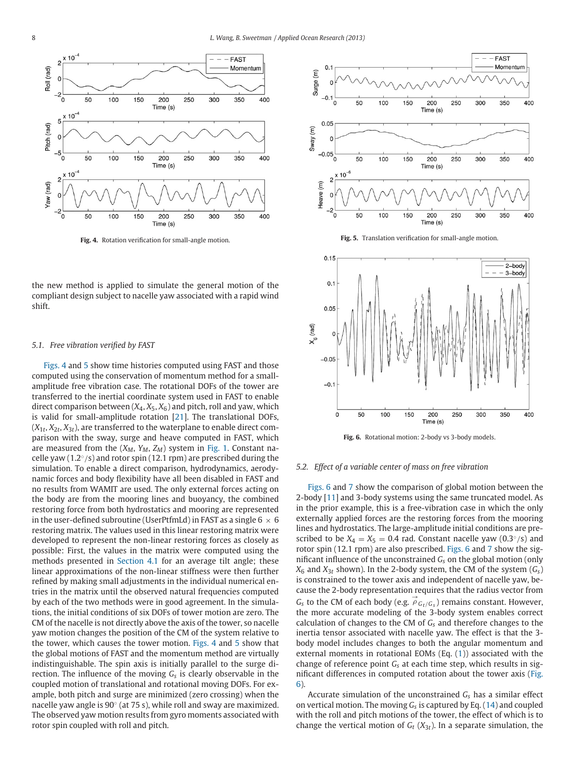

**Fig. 4.** Rotation verification for small-angle motion.

the new method is applied to simulate the general motion of the compliant design subject to nacelle yaw associated with a rapid wind shift.

#### *5.1. Free vibration verified by FAST*

Figs. 4 and 5 show time histories computed using FAST and those computed using the conservation of momentum method for a smallamplitude free vibration case. The rotational DOFs of the tower are transferred to the inertial coordinate system used in FAST to enable direct comparison between  $(X_4, X_5, X_6)$  and pitch, roll and yaw, which is valid for small-amplitude rotation [\[21\]](#page-9-0). The translational DOFs,  $(X_{1t}, X_{2t}, X_{3t})$ , are transferred to the waterplane to enable direct comparison with the sway, surge and heave computed in FAST, which are measured from the  $(X_M, Y_M, Z_M)$  system in [Fig.](#page-2-0) 1. Constant nacelle yaw (1.2◦/s) and rotor spin (12.1 rpm) are prescribed during the simulation. To enable a direct comparison, hydrodynamics, aerodynamic forces and body flexibility have all been disabled in FAST and no results from WAMIT are used. The only external forces acting on the body are from the mooring lines and buoyancy, the combined restoring force from both hydrostatics and mooring are represented in the user-defined subroutine (UserPtfmLd) in FAST as a single  $6 \times 6$ restoring matrix. The values used in this linear restoring matrix were developed to represent the non-linear restoring forces as closely as possible: First, the values in the matrix were computed using the methods presented in [Section](#page-5-0) 4.1 for an average tilt angle; these linear approximations of the non-linear stiffness were then further refined by making small adjustments in the individual numerical entries in the matrix until the observed natural frequencies computed by each of the two methods were in good agreement. In the simulations, the initial conditions of six DOFs of tower motion are zero. The CM of the nacelle is not directly above the axis of the tower, so nacelle yaw motion changes the position of the CM of the system relative to the tower, which causes the tower motion. Figs. 4 and 5 show that the global motions of FAST and the momentum method are virtually indistinguishable. The spin axis is initially parallel to the surge direction. The influence of the moving *Gs* is clearly observable in the coupled motion of translational and rotational moving DOFs. For example, both pitch and surge are minimized (zero crossing) when the nacelle yaw angle is 90◦ (at 75 s), while roll and sway are maximized. The observed yaw motion results from gyro moments associated with rotor spin coupled with roll and pitch.



**Fig. 5.** Translation verification for small-angle motion.



**Fig. 6.** Rotational motion: 2-body vs 3-body models.

#### *5.2. Effect of a variable center of mass on free vibration*

Figs. 6 and [7](#page-8-0) show the comparison of global motion between the 2-body [\[11\]](#page-9-0) and 3-body systems using the same truncated model. As in the prior example, this is a free-vibration case in which the only externally applied forces are the restoring forces from the mooring lines and hydrostatics. The large-amplitude initial conditions are prescribed to be  $X_4 = X_5 = 0.4$  rad. Constant nacelle yaw (0.3<sup>°</sup>/s) and rotor spin (12.1 rpm) are also prescribed. Figs. 6 and [7](#page-8-0) show the significant influence of the unconstrained *Gs* on the global motion (only *X*<sup>6</sup> and *X*3*<sup>t</sup>* shown). In the 2-body system, the CM of the system (*Gs*) is constrained to the tower axis and independent of nacelle yaw, because the 2-body representation requires that the radius vector from  $G_s$  to the CM of each body (e.g.  $\overrightarrow{\rho}_{G_t/G_s}$ ) remains constant. However, the more accurate modeling of the 3-body system enables correct calculation of changes to the CM of *Gs* and therefore changes to the inertia tensor associated with nacelle yaw. The effect is that the 3 body model includes changes to both the angular momentum and external moments in rotational EOMs (Eq. [\(1\)](#page-2-0)) associated with the change of reference point *Gs* at each time step, which results in significant differences in computed rotation about the tower axis (Fig. 6).

Accurate simulation of the unconstrained *Gs* has a similar effect on vertical motion. The moving *Gs* is captured by Eq. [\(14\)](#page-4-0) and coupled with the roll and pitch motions of the tower, the effect of which is to change the vertical motion of  $G_t$  ( $X_{3t}$ ). In a separate simulation, the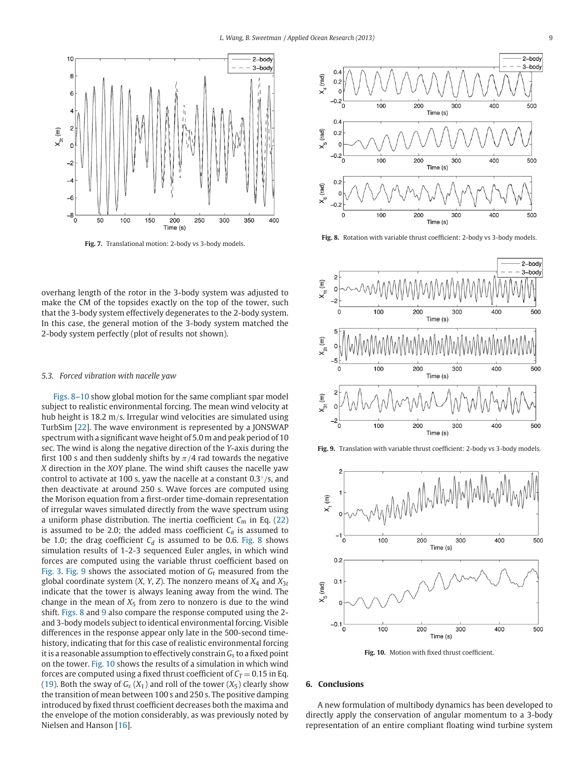<span id="page-8-0"></span>

**Fig. 7.** Translational motion: 2-body vs 3-body models.



**Fig. 8.** Rotation with variable thrust coefficient: 2-body vs 3-body models.

overhang length of the rotor in the 3-body system was adjusted to make the CM of the topsides exactly on the top of the tower, such that the 3-body system effectively degenerates to the 2-body system. In this case, the general motion of the 3-body system matched the 2-body system perfectly (plot of results not shown).

#### *5.3. Forced vibration with nacelle yaw*

Figs. 8–10 show global motion for the same compliant spar model subject to realistic environmental forcing. The mean wind velocity at hub height is 18.2 m/s. Irregular wind velocities are simulated using TurbSim [\[22\]](#page-9-0). The wave environment is represented by a JONSWAP spectrum with a significant wave height of 5.0 m and peak period of 10 sec. The wind is along the negative direction of the *Y*-axis during the first 100 s and then suddenly shifts by  $\pi/4$  rad towards the negative *X* direction in the *XOY* plane. The wind shift causes the nacelle yaw control to activate at 100 s, yaw the nacelle at a constant 0.3◦/s, and then deactivate at around 250 s. Wave forces are computed using the Morison equation from a first-order time-domain representation of irregular waves simulated directly from the wave spectrum using a uniform phase distribution. The inertia coefficient *Cm* in Eq. [\(22\)](#page-6-0) is assumed to be 2.0; the added mass coefficient  $C_a$  is assumed to be 1.0; the drag coefficient  $C_d$  is assumed to be 0.6. Fig. 8 shows simulation results of 1-2-3 sequenced Euler angles, in which wind forces are computed using the variable thrust coefficient based on [Fig.](#page-6-0) 3. Fig. 9 shows the associated motion of  $G_t$  measured from the global coordinate system  $(X, Y, Z)$ . The nonzero means of  $X_4$  and  $X_3$ indicate that the tower is always leaning away from the wind. The change in the mean of  $X_5$  from zero to nonzero is due to the wind shift. Figs. 8 and 9 also compare the response computed using the 2 and 3-body models subject to identical environmental forcing. Visible differences in the response appear only late in the 500-second timehistory, indicating that for this case of realistic environmental forcing it is a reasonable assumption to effectively constrain  $G<sub>s</sub>$  to a fixed point on the tower. Fig. 10 shows the results of a simulation in which wind forces are computed using a fixed thrust coefficient of  $C_T = 0.15$  in Eq. [\(19\)](#page-5-0). Both the sway of  $G_s(X_1)$  and roll of the tower  $(X_5)$  clearly show the transition of mean between 100 s and 250 s. The positive damping introduced by fixed thrust coefficient decreases both the maxima and the envelope of the motion considerably, as was previously noted by Nielsen and Hanson [\[16\]](#page-9-0).



**Fig. 9.** Translation with variable thrust coefficient: 2-body vs 3-body models.



**Fig. 10.** Motion with fixed thrust coefficient.

## **6. Conclusions**

A new formulation of multibody dynamics has been developed to directly apply the conservation of angular momentum to a 3-body representation of an entire compliant floating wind turbine system